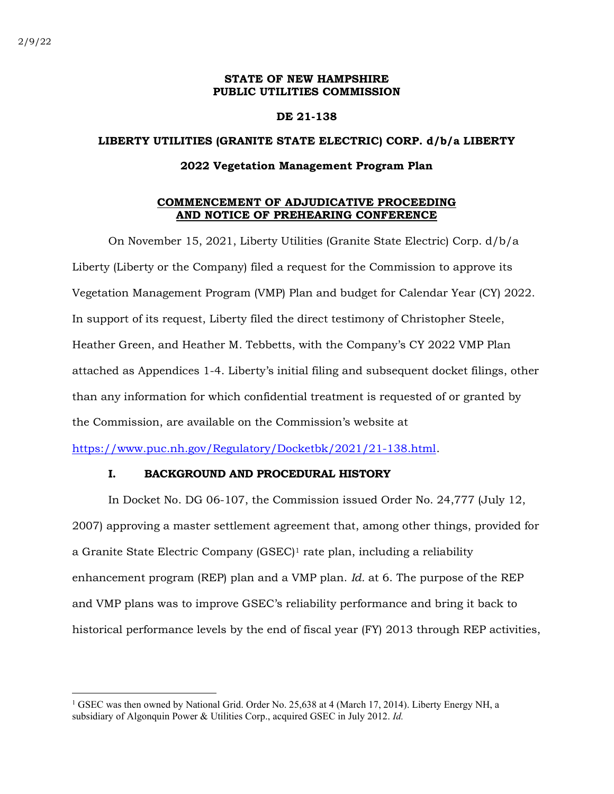### STATE OF NEW HAMPSHIRE PUBLIC UTILITIES COMMISSION

#### DE 21-138

# LIBERTY UTILITIES (GRANITE STATE ELECTRIC) CORP. d/b/a LIBERTY

#### 2022 Vegetation Management Program Plan

### COMMENCEMENT OF ADJUDICATIVE PROCEEDING AND NOTICE OF PREHEARING CONFERENCE

On November 15, 2021, Liberty Utilities (Granite State Electric) Corp. d/b/a Liberty (Liberty or the Company) filed a request for the Commission to approve its Vegetation Management Program (VMP) Plan and budget for Calendar Year (CY) 2022. In support of its request, Liberty filed the direct testimony of Christopher Steele, Heather Green, and Heather M. Tebbetts, with the Company's CY 2022 VMP Plan attached as Appendices 1-4. Liberty's initial filing and subsequent docket filings, other than any information for which confidential treatment is requested of or granted by the Commission, are available on the Commission's website at

https://www.puc.nh.gov/Regulatory/Docketbk/2021/21-138.html.

### I. BACKGROUND AND PROCEDURAL HISTORY

In Docket No. DG 06-107, the Commission issued Order No. 24,777 (July 12, 2007) approving a master settlement agreement that, among other things, provided for a Granite State Electric Company (GSEC)1 rate plan, including a reliability enhancement program (REP) plan and a VMP plan. Id. at 6. The purpose of the REP and VMP plans was to improve GSEC's reliability performance and bring it back to historical performance levels by the end of fiscal year (FY) 2013 through REP activities,

<sup>&</sup>lt;sup>1</sup> GSEC was then owned by National Grid. Order No. 25,638 at 4 (March 17, 2014). Liberty Energy NH, a subsidiary of Algonquin Power & Utilities Corp., acquired GSEC in July 2012. Id.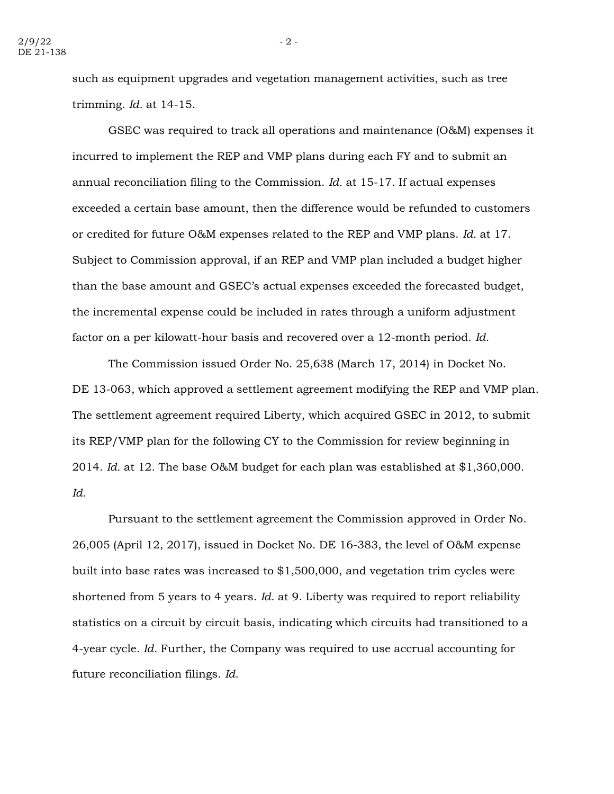such as equipment upgrades and vegetation management activities, such as tree trimming. Id. at 14-15.

GSEC was required to track all operations and maintenance (O&M) expenses it incurred to implement the REP and VMP plans during each FY and to submit an annual reconciliation filing to the Commission. Id. at 15-17. If actual expenses exceeded a certain base amount, then the difference would be refunded to customers or credited for future O&M expenses related to the REP and VMP plans. Id. at 17. Subject to Commission approval, if an REP and VMP plan included a budget higher than the base amount and GSEC's actual expenses exceeded the forecasted budget, the incremental expense could be included in rates through a uniform adjustment factor on a per kilowatt-hour basis and recovered over a 12-month period. Id.

The Commission issued Order No. 25,638 (March 17, 2014) in Docket No. DE 13-063, which approved a settlement agreement modifying the REP and VMP plan. The settlement agreement required Liberty, which acquired GSEC in 2012, to submit its REP/VMP plan for the following CY to the Commission for review beginning in 2014. Id. at 12. The base O&M budget for each plan was established at \$1,360,000. Id.

Pursuant to the settlement agreement the Commission approved in Order No. 26,005 (April 12, 2017), issued in Docket No. DE 16-383, the level of O&M expense built into base rates was increased to \$1,500,000, and vegetation trim cycles were shortened from 5 years to 4 years. *Id.* at 9. Liberty was required to report reliability statistics on a circuit by circuit basis, indicating which circuits had transitioned to a 4-year cycle. Id. Further, the Company was required to use accrual accounting for future reconciliation filings. Id.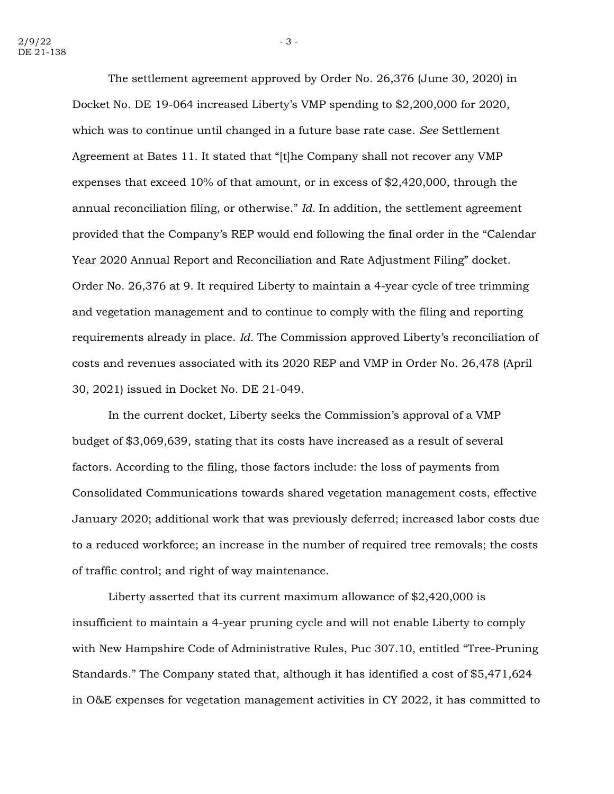The settlement agreement approved by Order No. 26,376 (June 30, 2020) in Docket No. DE 19-064 increased Liberty's VMP spending to \$2,200,000 for 2020, which was to continue until changed in a future base rate case. See Settlement Agreement at Bates 11. It stated that "[t]he Company shall not recover any VMP expenses that exceed 10% of that amount, or in excess of \$2,420,000, through the annual reconciliation filing, or otherwise." Id. In addition, the settlement agreement provided that the Company's REP would end following the final order in the "Calendar Year 2020 Annual Report and Reconciliation and Rate Adjustment Filing" docket. Order No. 26,376 at 9. It required Liberty to maintain a 4-year cycle of tree trimming and vegetation management and to continue to comply with the filing and reporting requirements already in place. Id. The Commission approved Liberty's reconciliation of costs and revenues associated with its 2020 REP and VMP in Order No. 26,478 (April 30, 2021) issued in Docket No. DE 21-049.

In the current docket, Liberty seeks the Commission's approval of a VMP budget of \$3,069,639, stating that its costs have increased as a result of several factors. According to the filing, those factors include: the loss of payments from Consolidated Communications towards shared vegetation management costs, effective January 2020; additional work that was previously deferred; increased labor costs due to a reduced workforce; an increase in the number of required tree removals; the costs of traffic control; and right of way maintenance.

Liberty asserted that its current maximum allowance of \$2,420,000 is insufficient to maintain a 4-year pruning cycle and will not enable Liberty to comply with New Hampshire Code of Administrative Rules, Puc 307.10, entitled "Tree-Pruning Standards." The Company stated that, although it has identified a cost of \$5,471,624 in O&E expenses for vegetation management activities in CY 2022, it has committed to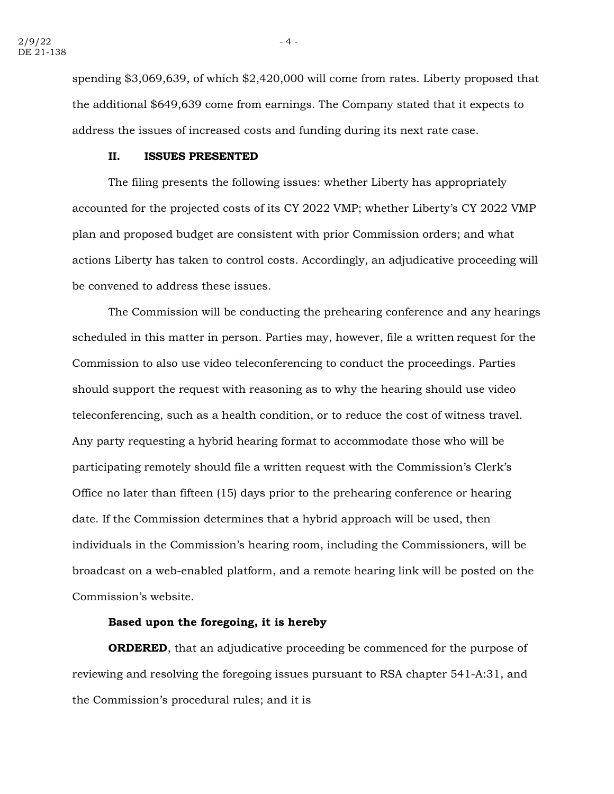spending \$3,069,639, of which \$2,420,000 will come from rates. Liberty proposed that the additional \$649,639 come from earnings. The Company stated that it expects to address the issues of increased costs and funding during its next rate case.

#### II. ISSUES PRESENTED

The filing presents the following issues: whether Liberty has appropriately accounted for the projected costs of its CY 2022 VMP; whether Liberty's CY 2022 VMP plan and proposed budget are consistent with prior Commission orders; and what actions Liberty has taken to control costs. Accordingly, an adjudicative proceeding will be convened to address these issues.

The Commission will be conducting the prehearing conference and any hearings scheduled in this matter in person. Parties may, however, file a written request for the Commission to also use video teleconferencing to conduct the proceedings. Parties should support the request with reasoning as to why the hearing should use video teleconferencing, such as a health condition, or to reduce the cost of witness travel. Any party requesting a hybrid hearing format to accommodate those who will be participating remotely should file a written request with the Commission's Clerk's Office no later than fifteen (15) days prior to the prehearing conference or hearing date. If the Commission determines that a hybrid approach will be used, then individuals in the Commission's hearing room, including the Commissioners, will be broadcast on a web-enabled platform, and a remote hearing link will be posted on the Commission's website.

## Based upon the foregoing, it is hereby

**ORDERED**, that an adjudicative proceeding be commenced for the purpose of reviewing and resolving the foregoing issues pursuant to RSA chapter 541-A:31, and the Commission's procedural rules; and it is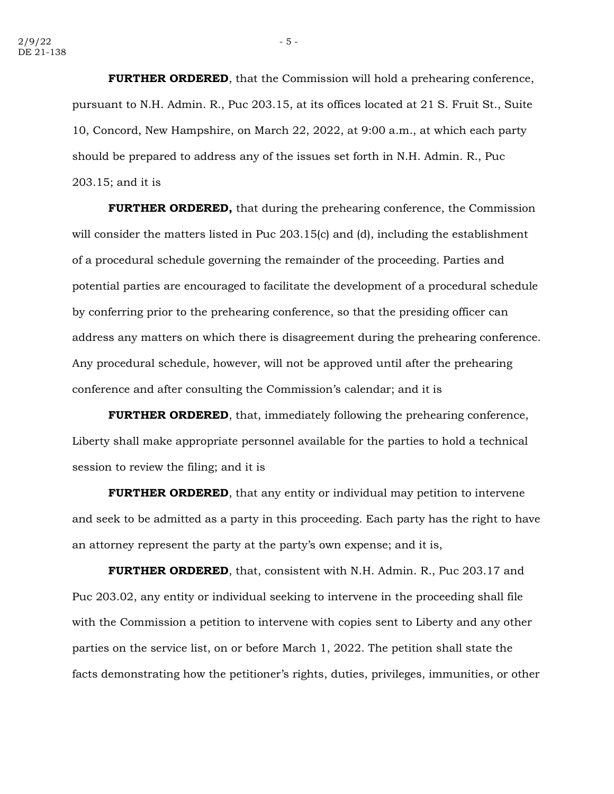**FURTHER ORDERED**, that the Commission will hold a prehearing conference, pursuant to N.H. Admin. R., Puc 203.15, at its offices located at 21 S. Fruit St., Suite 10, Concord, New Hampshire, on March 22, 2022, at 9:00 a.m., at which each party should be prepared to address any of the issues set forth in N.H. Admin. R., Puc 203.15; and it is

**FURTHER ORDERED,** that during the prehearing conference, the Commission will consider the matters listed in Puc 203.15(c) and (d), including the establishment of a procedural schedule governing the remainder of the proceeding. Parties and potential parties are encouraged to facilitate the development of a procedural schedule by conferring prior to the prehearing conference, so that the presiding officer can address any matters on which there is disagreement during the prehearing conference. Any procedural schedule, however, will not be approved until after the prehearing conference and after consulting the Commission's calendar; and it is

**FURTHER ORDERED**, that, immediately following the prehearing conference, Liberty shall make appropriate personnel available for the parties to hold a technical session to review the filing; and it is

FURTHER ORDERED, that any entity or individual may petition to intervene and seek to be admitted as a party in this proceeding. Each party has the right to have an attorney represent the party at the party's own expense; and it is,

**FURTHER ORDERED,** that, consistent with N.H. Admin. R., Puc 203.17 and Puc 203.02, any entity or individual seeking to intervene in the proceeding shall file with the Commission a petition to intervene with copies sent to Liberty and any other parties on the service list, on or before March 1, 2022. The petition shall state the facts demonstrating how the petitioner's rights, duties, privileges, immunities, or other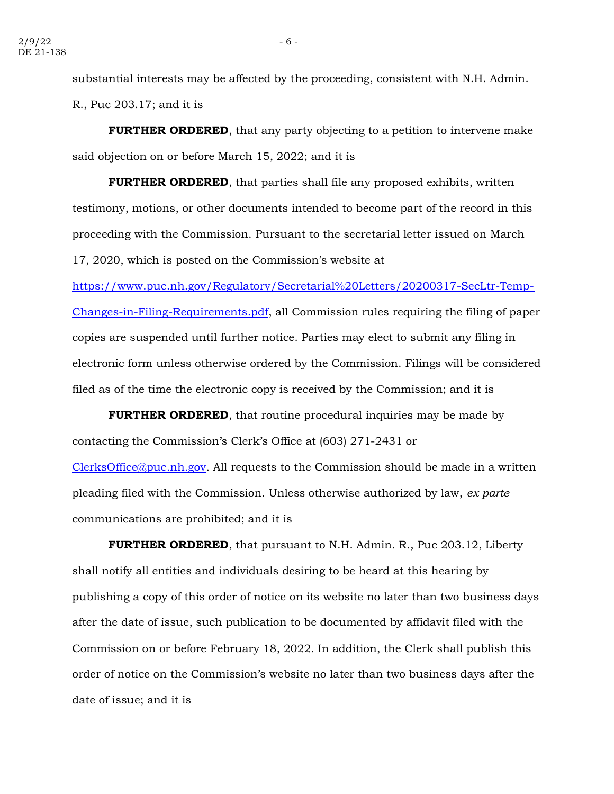substantial interests may be affected by the proceeding, consistent with N.H. Admin. R., Puc 203.17; and it is

**FURTHER ORDERED**, that any party objecting to a petition to intervene make said objection on or before March 15, 2022; and it is

**FURTHER ORDERED**, that parties shall file any proposed exhibits, written testimony, motions, or other documents intended to become part of the record in this proceeding with the Commission. Pursuant to the secretarial letter issued on March 17, 2020, which is posted on the Commission's website at

https://www.puc.nh.gov/Regulatory/Secretarial%20Letters/20200317-SecLtr-Temp-Changes-in-Filing-Requirements.pdf, all Commission rules requiring the filing of paper copies are suspended until further notice. Parties may elect to submit any filing in electronic form unless otherwise ordered by the Commission. Filings will be considered filed as of the time the electronic copy is received by the Commission; and it is

**FURTHER ORDERED**, that routine procedural inquiries may be made by contacting the Commission's Clerk's Office at (603) 271-2431 or ClerksOffice@puc.nh.gov. All requests to the Commission should be made in a written pleading filed with the Commission. Unless otherwise authorized by law, ex parte communications are prohibited; and it is

**FURTHER ORDERED**, that pursuant to N.H. Admin. R., Puc 203.12, Liberty shall notify all entities and individuals desiring to be heard at this hearing by publishing a copy of this order of notice on its website no later than two business days after the date of issue, such publication to be documented by affidavit filed with the Commission on or before February 18, 2022. In addition, the Clerk shall publish this order of notice on the Commission's website no later than two business days after the date of issue; and it is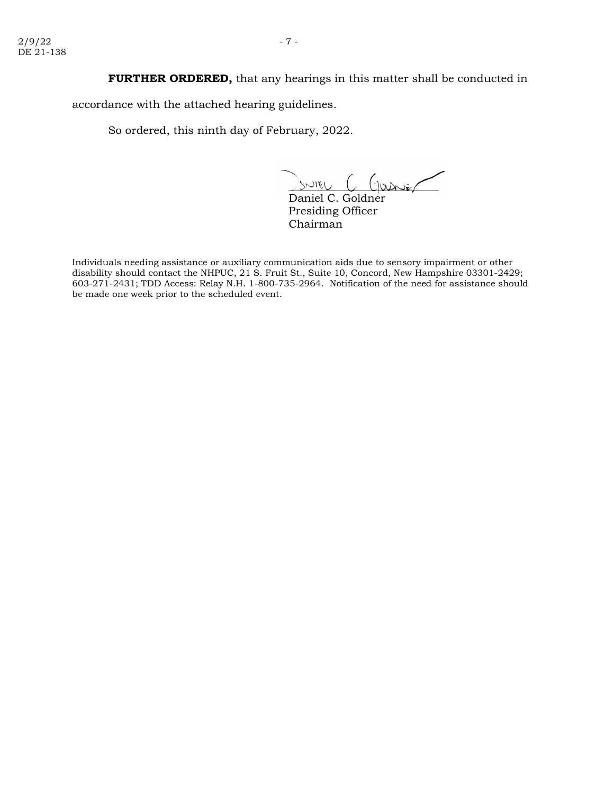FURTHER ORDERED, that any hearings in this matter shall be conducted in

accordance with the attached hearing guidelines.

So ordered, this ninth day of February, 2022.

\_\_\_\_\_\_\_\_\_\_\_\_\_\_\_\_\_\_\_\_\_\_\_\_\_

Daniel C. Goldner Presiding Officer Chairman

Individuals needing assistance or auxiliary communication aids due to sensory impairment or other disability should contact the NHPUC, 21 S. Fruit St., Suite 10, Concord, New Hampshire 03301-2429; 603-271-2431; TDD Access: Relay N.H. 1-800-735-2964. Notification of the need for assistance should be made one week prior to the scheduled event.